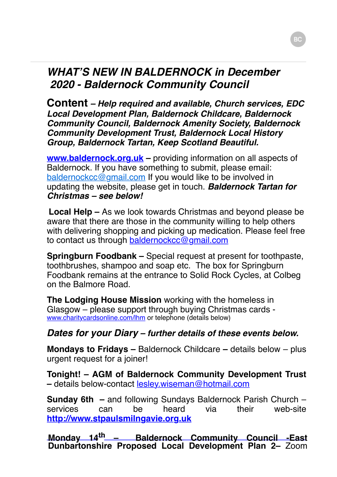## *WHAT'S NEW IN BALDERNOCK in December 2020 - Baldernock Community Council*

**Content** *– Help required and available, Church services, EDC Local Development Plan, Baldernock Childcare, Baldernock Community Council, Baldernock Amenity Society, Baldernock Community Development Trust, Baldernock Local History Group, Baldernock Tartan, Keep Scotland Beautiful.*

**www.baldernock.org.uk** – providing information on all aspects of Baldernock. If you have something to submit, please email: [baldernockcc@gmail.com](mailto:baldernockcc@gmail.com) If you would like to be involved in updating the website, please get in touch. *Baldernock Tartan for Christmas – see below!*

**Local Help –** As we look towards Christmas and beyond please be aware that there are those in the community willing to help others with delivering shopping and picking up medication. Please feel free to contact us through [baldernockcc@gmail.com](mailto:baldernockcc@gmail.com)

**Springburn Foodbank –** Special request at present for toothpaste, toothbrushes, shampoo and soap etc. The box for Springburn Foodbank remains at the entrance to Solid Rock Cycles, at Colbeg on the Balmore Road.

**The Lodging House Mission** working with the homeless in Glasgow – please support through buying Christmas cards [www.charitycardsonline.com/lhm](http://www.charitycardsonline.com/lhm) or telephone (details below)

## *Dates for your Diary – further details of these events below.*

**Mondays to Fridays –** Baldernock Childcare **–** details below – plus urgent request for a joiner!

**Tonight! – AGM of Baldernock Community Development Trust –** details below-contact [lesley.wiseman@hotmail.com](mailto:lesley.wiseman@hotmail.com)

**Sunday 6th –** and following Sundays Baldernock Parish Church – services can be heard via their web-site **[http://www.stpaulsmilngavie.org.uk](http://www.stpaulsmilngavie.org.uk/)**

**Monday 14th – Baldernock Community Council -East Dunbartonshire Proposed Local Development Plan 2–** Zoom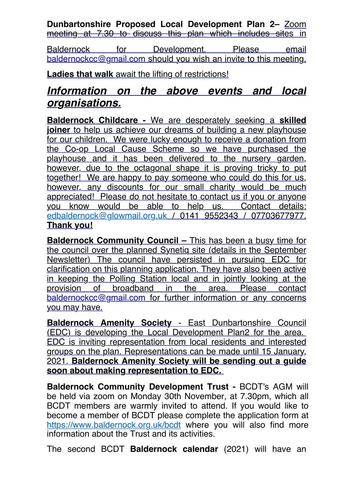**Dunbartonshire Proposed Local Development Plan 2–** Zoom meeting at 7.30 to discuss this plan which includes sites in

Baldernock for Development. Please email [baldernockcc@gmail.com](mailto:baldernockcc@gmail.com) should you wish an invite to this meeting.

**Ladies that walk** await the lifting of restrictions!

## *Information on the above events and local organisations.*

**Baldernock Childcare -** We are desperately seeking a **skilled joiner** to help us achieve our dreams of building a new playhouse for our children. We were lucky enough to receive a donation from the Co-op Local Cause Scheme so we have purchased the playhouse and it has been delivered to the nursery garden, however, due to the octagonal shape it is proving tricky to put together! We are happy to pay someone who could do this for us, however, any discounts for our small charity would be much appreciated! Please do not hesitate to contact us if you or anyone you know would be able to help us. Contact details: [edbaldernock@glowmail.org.uk](mailto:edbaldernock@glowmail.org.uk) / 0141 9552343 / 07703677977. **Thank you!**

**Baldernock Community Council - This has been a busy time for** the council over the planned Synetiq site (details in the September Newsletter) The council have persisted in pursuing EDC for clarification on this planning application. They have also been active in keeping the Polling Station local and in jointly looking at the provision of broadband in the area. Please contact [baldernockcc@gmail.com](mailto:baldernockcc@gmail.com) for further information or any concerns you may have.

**Baldernock Amenity Society** - East Dunbartonshire Council (EDC) is developing the Local Development Plan2 for the area. EDC is inviting representation from local residents and interested groups on the plan. Representations can be made until 15 January, 2021. **Baldernock Amenity Society will be sending out a guide soon about making representation to EDC.** 

**Baldernock Community Development Trust -** BCDT's AGM will be held via zoom on Monday 30th November, at 7.30pm, which all BCDT members are warmly invited to attend. If you would like to become a member of BCDT please complete the application form at <https://www.baldernock.org.uk/bcdt> where you will also find more information about the Trust and its activities.

The second BCDT **Baldernock calendar** (2021) will have an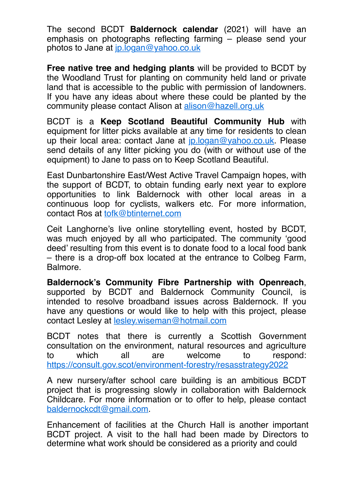The second BCDT **Baldernock calendar** (2021) will have an emphasis on photographs reflecting farming – please send your photos to Jane at [jp.logan@yahoo.co.uk](mailto:jp.logan@yahoo.co.uk)

**Free native tree and hedging plants** will be provided to BCDT by the Woodland Trust for planting on community held land or private land that is accessible to the public with permission of landowners. If you have any ideas about where these could be planted by the community please contact Alison at [alison@hazell.org.uk](mailto:alison@hazell.org.uk)

BCDT is a **Keep Scotland Beautiful Community Hub** with equipment for litter picks available at any time for residents to clean up their local area: contact Jane at [jp.logan@yahoo.co.uk](mailto:jp.logan@yahoo.co.uk). Please send details of any litter picking you do (with or without use of the equipment) to Jane to pass on to Keep Scotland Beautiful.

East Dunbartonshire East/West Active Travel Campaign hopes, with the support of BCDT, to obtain funding early next year to explore opportunities to link Baldernock with other local areas in a continuous loop for cyclists, walkers etc. For more information, contact Ros at [tofk@btinternet.com](mailto:tofk@btinternet.com)

Ceit Langhorne's live online storytelling event, hosted by BCDT, was much enjoyed by all who participated. The community 'good deed' resulting from this event is to donate food to a local food bank – there is a drop-off box located at the entrance to Colbeg Farm, Balmore.

**Baldernock's Community Fibre Partnership with Openreach**, supported by BCDT and Baldernock Community Council, is intended to resolve broadband issues across Baldernock. If you have any questions or would like to help with this project, please contact Lesley at [lesley.wiseman@hotmail.com](mailto:lesley.wiseman@hotmail.com)

BCDT notes that there is currently a Scottish Government consultation on the environment, natural resources and agriculture to which all are welcome to respond: <https://consult.gov.scot/environment-forestry/resasstrategy2022>

A new nursery/after school care building is an ambitious BCDT project that is progressing slowly in collaboration with Baldernock Childcare. For more information or to offer to help, please contact [baldernockcdt@gmail.com](mailto:baldernockcdt@gmail.com).

Enhancement of facilities at the Church Hall is another important BCDT project. A visit to the hall had been made by Directors to determine what work should be considered as a priority and could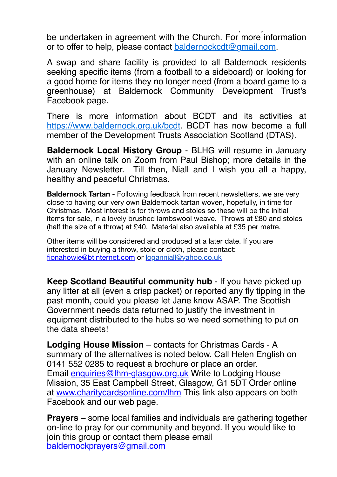determine what work should be considered as a priority and could be undertaken in agreement with the Church. For more information or to offer to help, please contact [baldernockcdt@gmail.com.](mailto:baldernockcdt@gmail.com)

A swap and share facility is provided to all Baldernock residents seeking specific items (from a football to a sideboard) or looking for a good home for items they no longer need (from a board game to a greenhouse) at Baldernock Community Development Trust's Facebook page.

There is more information about BCDT and its activities at [https://www.baldernock.org.uk/bcdt.](https://www.baldernock.org.uk/bcdt) BCDT has now become a full member of the Development Trusts Association Scotland (DTAS).

**Baldernock Local History Group** - BLHG will resume in January with an online talk on Zoom from Paul Bishop; more details in the January Newsletter. Till then, Niall and I wish you all a happy, healthy and peaceful Christmas.

**Baldernock Tartan** - Following feedback from recent newsletters, we are very close to having our very own Baldernock tartan woven, hopefully, in time for Christmas. Most interest is for throws and stoles so these will be the initial items for sale, in a lovely brushed lambswool weave. Throws at £80 and stoles (half the size of a throw) at £40. Material also available at £35 per metre.

Other items will be considered and produced at a later date. If you are interested in buying a throw, stole or cloth, please contact: [fionahowie@btinternet.com](mailto:fionahowie@btinternet.com) or [loganniall@yahoo.co.uk](mailto:loganniall@yahoo.co.uk)

**Keep Scotland Beautiful community hub** - If you have picked up any litter at all (even a crisp packet) or reported any fly tipping in the past month, could you please let Jane know ASAP. The Scottish Government needs data returned to justify the investment in equipment distributed to the hubs so we need something to put on the data sheets!

**Lodging House Mission** – contacts for Christmas Cards - A summary of the alternatives is noted below. Call Helen English on 0141 552 0285 to request a brochure or place an order. Email [enquiries@lhm-glasgow.org.uk](mailto:enquiries@lhm-glasgow.org.uk) Write to Lodging House Mission, 35 East Campbell Street, Glasgow, G1 5DT Order online at [www.charitycardsonline.com/lhm](https://www.cardsonline.co.uk/) This link also appears on both Facebook and our web page.

**Prayers –** some local families and individuals are gathering together on-line to pray for our community and beyond. If you would like to join this group or contact them please email [baldernockprayers@gmail.com](mailto:baldernockprayers@gmail.com)